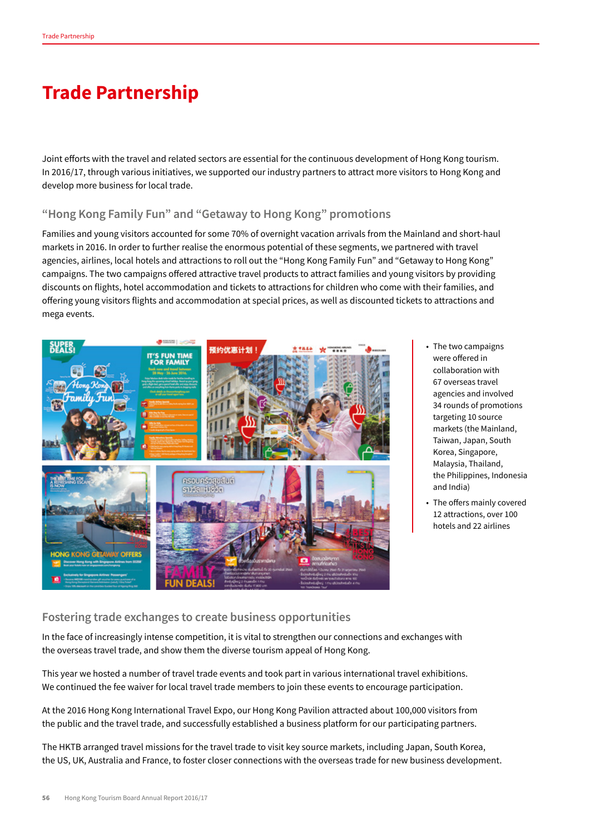## **Trade Partnership**

Joint efforts with the travel and related sectors are essential for the continuous development of Hong Kong tourism. In 2016/17, through various initiatives, we supported our industry partners to attract more visitors to Hong Kong and develop more business for local trade.

## **"Hong Kong Family Fun" and "Getaway to Hong Kong" promotions**

Families and young visitors accounted for some 70% of overnight vacation arrivals from the Mainland and short-haul markets in 2016. In order to further realise the enormous potential of these segments, we partnered with travel agencies, airlines, local hotels and attractions to roll out the "Hong Kong Family Fun" and "Getaway to Hong Kong" campaigns. The two campaigns offered attractive travel products to attract families and young visitors by providing discounts on flights, hotel accommodation and tickets to attractions for children who come with their families, and offering young visitors flights and accommodation at special prices, as well as discounted tickets to attractions and mega events.



- The two campaigns were offered in collaboration with 67 overseas travel agencies and involved 34 rounds of promotions targeting 10 source markets (the Mainland, Taiwan, Japan, South Korea, Singapore, Malaysia, Thailand, the Philippines, Indonesia and India)
- The offers mainly covered 12 attractions, over 100 hotels and 22 airlines

## **Fostering trade exchanges to create business opportunities**

In the face of increasingly intense competition, it is vital to strengthen our connections and exchanges with the overseas travel trade, and show them the diverse tourism appeal of Hong Kong.

This year we hosted a number of travel trade events and took part in various international travel exhibitions. We continued the fee waiver for local travel trade members to join these events to encourage participation.

At the 2016 Hong Kong International Travel Expo, our Hong Kong Pavilion attracted about 100,000 visitors from the public and the travel trade, and successfully established a business platform for our participating partners.

The HKTB arranged travel missions for the travel trade to visit key source markets, including Japan, South Korea, the US, UK, Australia and France, to foster closer connections with the overseas trade for new business development.